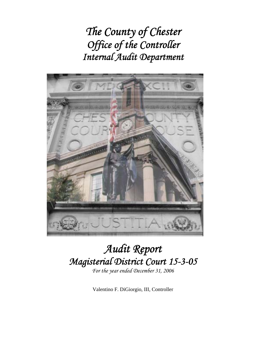*The County of Chester Office of the Controller Internal Audit Department* 



# *Audit Report Magisterial District Court 15-3-05*

*For the year ended December 31, 2006* 

Valentino F. DiGiorgio, III, Controller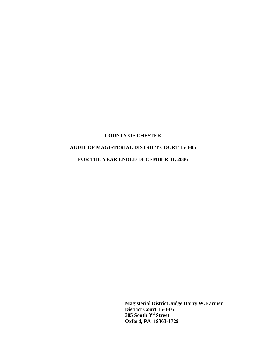## **AUDIT OF MAGISTERIAL DISTRICT COURT 15-3-05**

**FOR THE YEAR ENDED DECEMBER 31, 2006** 

 **Magisterial District Judge Harry W. Farmer District Court 15-3-05 305 South 3rd Street Oxford, PA 19363-1729**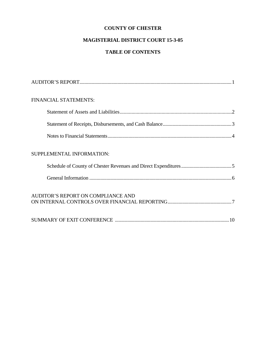## **MAGISTERIAL DISTRICT COURT 15-3-05**

## **TABLE OF CONTENTS**

| FINANCIAL STATEMENTS:              |
|------------------------------------|
|                                    |
|                                    |
|                                    |
| SUPPLEMENTAL INFORMATION:          |
|                                    |
|                                    |
| AUDITOR'S REPORT ON COMPLIANCE AND |
|                                    |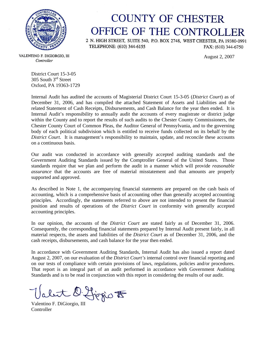

## **COUNTY OF CHESTER** OFFICE OF THE CONTROLLER

2 N. HIGH STREET, SUITE 540, P.O. BOX 2748, WEST CHESTER, PA 19380-0991 TELEPHONE: (610) 344-6155 FAX: (610) 344-6750

August 2, 2007

VALENTINO F. DIGIORGIO, III Controller

District Court 15-3-05 305 South 3rd Street Oxford, PA 19363-1729

Internal Audit has audited the accounts of Magisterial District Court 15-3-05 (*District Court*) as of December 31, 2006, and has compiled the attached Statement of Assets and Liabilities and the related Statement of Cash Receipts, Disbursements, and Cash Balance for the year then ended. It is Internal Audit's responsibility to annually audit the accounts of every magistrate or district judge within the County and to report the results of such audits to the Chester County Commissioners, the Chester County Court of Common Pleas, the Auditor General of Pennsylvania, and to the governing body of each political subdivision which is entitled to receive funds collected on its behalf by the *District Court*. It is management's responsibility to maintain, update, and reconcile these accounts on a continuous basis.

Our audit was conducted in accordance with generally accepted auditing standards and the Government Auditing Standards issued by the Comptroller General of the United States. Those standards require that we plan and perform the audit in a manner which will provide *reasonable assurance* that the accounts are free of material misstatement and that amounts are properly supported and approved.

As described in Note 1, the accompanying financial statements are prepared on the cash basis of accounting, which is a comprehensive basis of accounting other than generally accepted accounting principles. Accordingly, the statements referred to above are not intended to present the financial position and results of operations of the *District Court* in conformity with generally accepted accounting principles.

In our opinion, the accounts of the *District Court* are stated fairly as of December 31, 2006. Consequently, the corresponding financial statements prepared by Internal Audit present fairly, in all material respects, the assets and liabilities of the *District Court* as of December 31, 2006, and the cash receipts, disbursements, and cash balance for the year then ended.

In accordance with Government Auditing Standards, Internal Audit has also issued a report dated August 2, 2007, on our evaluation of the *District Court's* internal control over financial reporting and on our tests of compliance with certain provisions of laws, regulations, policies and/or procedures. That report is an integral part of an audit performed in accordance with Government Auditing Standards and is to be read in conjunction with this report in considering the results of our audit.

Valent D. Higgio F

**Controller**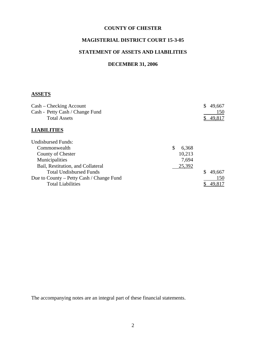## **MAGISTERIAL DISTRICT COURT 15-3-05**

## **STATEMENT OF ASSETS AND LIABILITIES**

## **DECEMBER 31, 2006**

## **ASSETS**

| Cash – Checking Account                  |             | 49,667 |
|------------------------------------------|-------------|--------|
| Cash - Petty Cash / Change Fund          |             | 150    |
| <b>Total Assets</b>                      |             | 49,817 |
| <b>LIABILITIES</b>                       |             |        |
| <b>Undisbursed Funds:</b>                |             |        |
| Commonwealth                             | \$<br>6,368 |        |
| County of Chester                        | 10,213      |        |
| Municipalities                           | 7,694       |        |
| Bail, Restitution, and Collateral        | 25,392      |        |
| <b>Total Undisbursed Funds</b>           |             | 49,667 |
| Due to County – Petty Cash / Change Fund |             | 150    |
| <b>Total Liabilities</b>                 |             | 49,817 |

The accompanying notes are an integral part of these financial statements.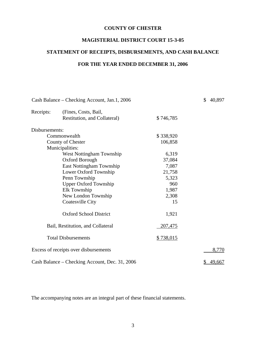## **MAGISTERIAL DISTRICT COURT 15-3-05**

## **STATEMENT OF RECEIPTS, DISBURSEMENTS, AND CASH BALANCE**

## **FOR THE YEAR ENDED DECEMBER 31, 2006**

|                | Cash Balance – Checking Account, Jan.1, 2006   |                | \$<br>40,897 |
|----------------|------------------------------------------------|----------------|--------------|
| Receipts:      | (Fines, Costs, Bail,                           |                |              |
|                | Restitution, and Collateral)                   | \$746,785      |              |
| Disbursements: |                                                |                |              |
|                | Commonwealth                                   | \$338,920      |              |
|                | County of Chester                              | 106,858        |              |
|                | Municipalities:                                |                |              |
|                | West Nottingham Township                       | 6,319          |              |
|                | <b>Oxford Borough</b>                          | 37,084         |              |
|                | East Nottingham Township                       | 7,087          |              |
|                | Lower Oxford Township                          | 21,758         |              |
|                | Penn Township                                  | 5,323          |              |
|                | <b>Upper Oxford Township</b>                   | 960            |              |
|                | Elk Township                                   | 1,987          |              |
|                | New London Township                            | 2,308          |              |
|                | Coatesville City                               | 15             |              |
|                | <b>Oxford School District</b>                  | 1,921          |              |
|                | Bail, Restitution, and Collateral              | <u>207,475</u> |              |
|                | <b>Total Disbursements</b>                     | \$738,015      |              |
|                | Excess of receipts over disbursements          |                | 8,770        |
|                | Cash Balance – Checking Account, Dec. 31, 2006 |                | 49,667       |

The accompanying notes are an integral part of these financial statements.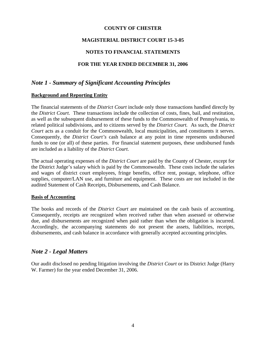### **MAGISTERIAL DISTRICT COURT 15-3-05**

#### **NOTES TO FINANCIAL STATEMENTS**

#### **FOR THE YEAR ENDED DECEMBER 31, 2006**

## *Note 1 - Summary of Significant Accounting Principles*

#### **Background and Reporting Entity**

The financial statements of the *District Court* include only those transactions handled directly by the *District Court*. These transactions include the collection of costs, fines, bail, and restitution, as well as the subsequent disbursement of these funds to the Commonwealth of Pennsylvania, to related political subdivisions, and to citizens served by the *District Court.* As such, the *District Court* acts as a conduit for the Commonwealth, local municipalities, and constituents it serves. Consequently, the *District Court's* cash balance at any point in time represents undisbursed funds to one (or all) of these parties. For financial statement purposes, these undisbursed funds are included as a liability of the *District Court*.

The actual operating expenses of the *District Court* are paid by the County of Chester, except for the District Judge's salary which is paid by the Commonwealth. These costs include the salaries and wages of district court employees, fringe benefits, office rent, postage, telephone, office supplies, computer/LAN use, and furniture and equipment. These costs are not included in the audited Statement of Cash Receipts, Disbursements, and Cash Balance.

#### **Basis of Accounting**

The books and records of the *District Court* are maintained on the cash basis of accounting. Consequently, receipts are recognized when received rather than when assessed or otherwise due, and disbursements are recognized when paid rather than when the obligation is incurred. Accordingly, the accompanying statements do not present the assets, liabilities, receipts, disbursements, and cash balance in accordance with generally accepted accounting principles.

## *Note 2 - Legal Matters*

Our audit disclosed no pending litigation involving the *District Court* or its District Judge (Harry W. Farmer) for the year ended December 31, 2006.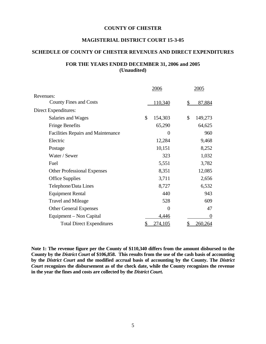#### **MAGISTERIAL DISTRICT COURT 15-3-05**

#### **SCHEDULE OF COUNTY OF CHESTER REVENUES AND DIRECT EXPENDITURES**

#### **FOR THE YEARS ENDED DECEMBER 31, 2006 and 2005 (Unaudited)**

|                                           | 2006           | 2005           |
|-------------------------------------------|----------------|----------------|
| Revenues:                                 |                |                |
| <b>County Fines and Costs</b>             | 110,340        | 87,884<br>\$   |
| Direct Expenditures:                      |                |                |
| Salaries and Wages                        | \$<br>154,303  | \$<br>149,273  |
| <b>Fringe Benefits</b>                    | 65,290         | 64,625         |
| <b>Facilities Repairs and Maintenance</b> | 0              | 960            |
| Electric                                  | 12,284         | 9,468          |
| Postage                                   | 10,151         | 8,252          |
| Water / Sewer                             | 323            | 1,032          |
| Fuel                                      | 5,551          | 3,782          |
| <b>Other Professional Expenses</b>        | 8,351          | 12,085         |
| <b>Office Supplies</b>                    | 3,711          | 2,656          |
| Telephone/Data Lines                      | 8,727          | 6,532          |
| <b>Equipment Rental</b>                   | 440            | 943            |
| <b>Travel and Mileage</b>                 | 528            | 609            |
| <b>Other General Expenses</b>             | $\Omega$       | 47             |
| Equipment – Non Capital                   | 4,446          | $\theta$       |
| <b>Total Direct Expenditures</b>          | <u>274,105</u> | <u>260,264</u> |

**Note 1: The revenue figure per the County of \$110,340 differs from the amount disbursed to the County by the** *District Court* **of \$106,858. This results from the use of the cash basis of accounting by the** *District Court* **and the modified accrual basis of accounting by the County. The** *District Court* **recognizes the disbursement as of the check date, while the County recognizes the revenue in the year the fines and costs are collected by the** *District Court***.**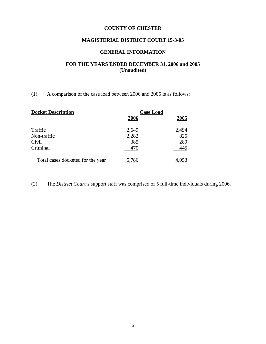## **MAGISTERIAL DISTRICT COURT 15-3-05**

#### **GENERAL INFORMATION**

## **FOR THE YEARS ENDED DECEMBER 31, 2006 and 2005 (Unaudited)**

(1) A comparison of the case load between 2006 and 2005 is as follows:

| <b>Docket Description</b>         | <b>Case Load</b> |       |
|-----------------------------------|------------------|-------|
|                                   | 2006             | 2005  |
| Traffic                           | 2,649            | 2,494 |
| Non-traffic                       | 2,282            | 825   |
| Civil                             | 385              | 289   |
| Criminal                          | 470              | 445   |
| Total cases docketed for the year |                  |       |

(2) The *District Court's* support staff was comprised of 5 full-time individuals during 2006.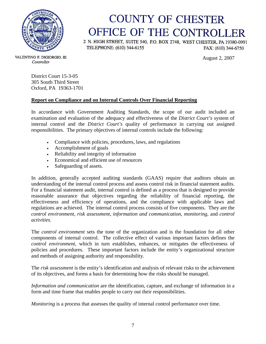

# **COUNTY OF CHESTER** OFFICE OF THE CONTROLLER

2 N. HIGH STREET, SUITE 540, P.O. BOX 2748, WEST CHESTER, PA 19380-0991 TELEPHONE: (610) 344-6155 FAX: (610) 344-6750

August 2, 2007

VALENTINO F. DIGIORGIO, III Controller

> District Court 15-3-05 305 South Third Street Oxford, PA 19363-1701

## **Report on Compliance and on Internal Controls Over Financial Reporting**

In accordance with Government Auditing Standards, the scope of our audit included an examination and evaluation of the adequacy and effectiveness of the *District Court's* system of internal control and the *District Court's* quality of performance in carrying out assigned responsibilities. The primary objectives of internal controls include the following:

- Compliance with policies, procedures, laws, and regulations
- Accomplishment of goals
- Reliability and integrity of information
- Economical and efficient use of resources
- Safeguarding of assets.

In addition, generally accepted auditing standards (GAAS) require that auditors obtain an understanding of the internal control process and assess control risk in financial statement audits. For a financial statement audit, internal control is defined as a process that is designed to provide reasonable assurance that objectives regarding the reliability of financial reporting, the effectiveness and efficiency of operations, and the compliance with applicable laws and regulations are achieved. The internal control process consists of five components. They are the *control environment*, *risk assessment*, *information and communication*, *monitoring*, and *control activities*.

The *control environment* sets the tone of the organization and is the foundation for all other components of internal control. The collective effect of various important factors defines the *control environment*, which in turn establishes, enhances, or mitigates the effectiveness of policies and procedures. These important factors include the entity's organizational structure and methods of assigning authority and responsibility.

The *risk assessment* is the entity's identification and analysis of relevant risks to the achievement of its objectives, and forms a basis for determining how the risks should be managed.

*Information and communication* are the identification, capture, and exchange of information in a form and time frame that enables people to carry out their responsibilities.

*Monitoring* is a process that assesses the quality of internal control performance over time.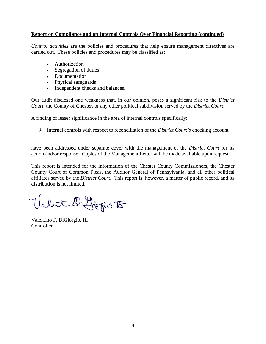#### **Report on Compliance and on Internal Controls Over Financial Reporting (continued)**

*Control activities* are the policies and procedures that help ensure management directives are carried out. These policies and procedures may be classified as:

- Authorization
- Segregation of duties
- Documentation
- Physical safeguards
- Independent checks and balances.

Our audit disclosed one weakness that, in our opinion, poses a significant risk to the *District Court*, the County of Chester, or any other political subdivision served by the *District Court*.

A finding of lesser significance in the area of internal controls specifically:

¾ Internal controls with respect to reconciliation of the *District Court's* checking account

have been addressed under separate cover with the management of the *District Court* for its action and/or response. Copies of the Management Letter will be made available upon request.

This report is intended for the information of the Chester County Commissioners, the Chester County Court of Common Pleas, the Auditor General of Pennsylvania, and all other political affiliates served by the *District Court*. This report is, however, a matter of public record, and its distribution is not limited.

Valet D. Ljegio to

Valentino F. DiGiorgio, III **Controller**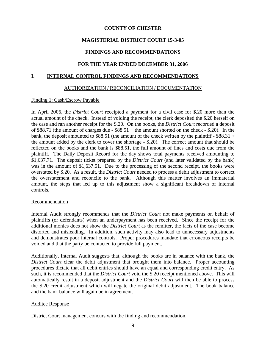### **MAGISTERIAL DISTRICT COURT 15-3-05**

### **FINDINGS AND RECOMMENDATIONS**

#### **FOR THE YEAR ENDED DECEMBER 31, 2006**

#### **I. INTERNAL CONTROL FINDINGS AND RECOMMENDATIONS**

#### AUTHORIZATION / RECONCILIATION / DOCUMENTATION

#### Finding 1: Cash/Escrow Payable

In April 2006, the *District Court* receipted a payment for a civil case for \$.20 more than the actual amount of the check. Instead of voiding the receipt, the clerk deposited the \$.20 herself on the case and ran another receipt for the \$.20. On the books, the *District Court* recorded a deposit of \$88.71 (the amount of charges due - \$88.51 + the amount shorted on the check - \$.20). In the bank, the deposit amounted to \$88.51 (the amount of the check written by the plaintiff - \$88.31 + the amount added by the clerk to cover the shortage - \$.20). The correct amount that should be reflected on the books and the bank is \$88.51, the full amount of fines and costs due from the plaintiff. The Daily Deposit Record for the day shows total payments received amounting to \$1,637.71. The deposit ticket prepared by the *District Court* (and later validated by the bank) was in the amount of \$1,637.51. Due to the processing of the second receipt, the books were overstated by \$.20. As a result, the *District Court* needed to process a debit adjustment to correct the overstatement and reconcile to the bank. Although this matter involves an immaterial amount, the steps that led up to this adjustment show a significant breakdown of internal controls.

#### **Recommendation**

Internal Audit strongly recommends that the *District Court* not make payments on behalf of plaintiffs (or defendants) when an underpayment has been received. Since the receipt for the additional monies does not show the *District Court* as the remitter, the facts of the case become distorted and misleading. In addition, such activity may also lead to unnecessary adjustments and demonstrates poor internal controls. Proper procedures mandate that erroneous receipts be voided and that the party be contacted to provide full payment.

Additionally, Internal Audit suggests that, although the books are in balance with the bank, the *District Court* clear the debit adjustment that brought them into balance. Proper accounting procedures dictate that all debit entries should have an equal and corresponding credit entry. As such, it is recommended that the *District Court* void the \$.20 receipt mentioned above. This will automatically result in a deposit adjustment and the *District Court* will then be able to process the \$.20 credit adjustment which will negate the original debit adjustment. The book balance and the bank balance will again be in agreement.

#### Auditee Response

District Court management concurs with the finding and recommendation.